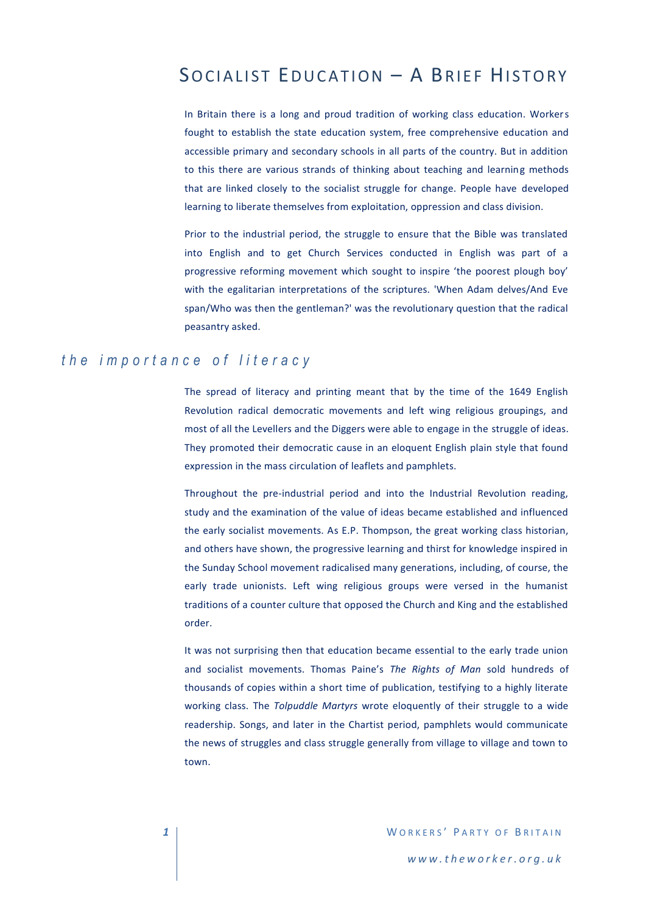# SOCIALIST EDUCATION - A BRIEF HISTORY

In Britain there is a long and proud tradition of working class education. Workers fought to establish the state education system, free comprehensive education and accessible primary and secondary schools in all parts of the country. But in addition to this there are various strands of thinking about teaching and learning methods that are linked closely to the socialist struggle for change. People have developed learning to liberate themselves from exploitation, oppression and class division.

Prior to the industrial period, the struggle to ensure that the Bible was translated into English and to get Church Services conducted in English was part of a progressive reforming movement which sought to inspire 'the poorest plough boy' with the egalitarian interpretations of the scriptures. 'When Adam delves/And Eve span/Who was then the gentleman?' was the revolutionary question that the radical peasantry asked.

## *t he i m p o r t a n c e o f l i t e r a c y*

The spread of literacy and printing meant that by the time of the 1649 English Revolution radical democratic movements and left wing religious groupings, and most of all the Levellers and the Diggers were able to engage in the struggle of ideas. They promoted their democratic cause in an eloquent English plain style that found expression in the mass circulation of leaflets and pamphlets.

Throughout the pre-industrial period and into the Industrial Revolution reading, study and the examination of the value of ideas became established and influenced the early socialist movements. As E.P. Thompson, the great working class historian, and others have shown, the progressive learning and thirst for knowledge inspired in the Sunday School movement radicalised many generations, including, of course, the early trade unionists. Left wing religious groups were versed in the humanist traditions of a counter culture that opposed the Church and King and the established order.

It was not surprising then that education became essential to the early trade union and socialist movements. Thomas Paine's *The Rights of Man* sold hundreds of thousands of copies within a short time of publication, testifying to a highly literate working class. The *Tolpuddle Martyrs* wrote eloquently of their struggle to a wide readership. Songs, and later in the Chartist period, pamphlets would communicate the news of struggles and class struggle generally from village to village and town to town.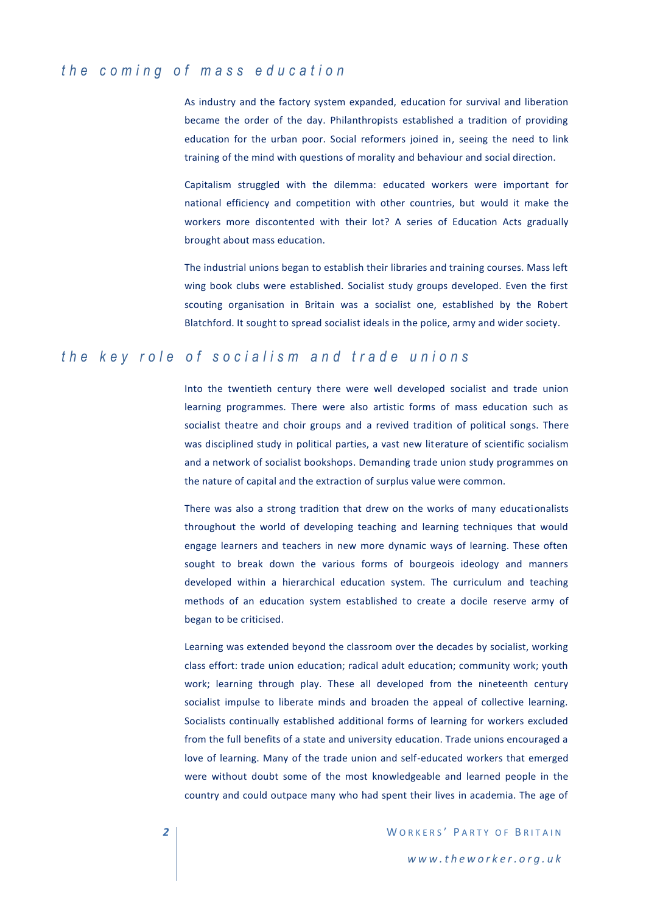# *t h e c o m i n g o f m a s s e d u c a t i o n*

As industry and the factory system expanded, education for survival and liberation became the order of the day. Philanthropists established a tradition of providing education for the urban poor. Social reformers joined in, seeing the need to link training of the mind with questions of morality and behaviour and social direction.

Capitalism struggled with the dilemma: educated workers were important for national efficiency and competition with other countries, but would it make the workers more discontented with their lot? A series of Education Acts gradually brought about mass education.

The industrial unions began to establish their libraries and training courses. Mass left wing book clubs were established. Socialist study groups developed. Even the first scouting organisation in Britain was a socialist one, established by the Robert Blatchford. It sought to spread socialist ideals in the police, army and wider society.

#### *the key role of socialism and trade unions*

Into the twentieth century there were well developed socialist and trade union learning programmes. There were also artistic forms of mass education such as socialist theatre and choir groups and a revived tradition of political songs. There was disciplined study in political parties, a vast new literature of scientific socialism and a network of socialist bookshops. Demanding trade union study programmes on the nature of capital and the extraction of surplus value were common.

There was also a strong tradition that drew on the works of many educationalists throughout the world of developing teaching and learning techniques that would engage learners and teachers in new more dynamic ways of learning. These often sought to break down the various forms of bourgeois ideology and manners developed within a hierarchical education system. The curriculum and teaching methods of an education system established to create a docile reserve army of began to be criticised.

Learning was extended beyond the classroom over the decades by socialist, working class effort: trade union education; radical adult education; community work; youth work; learning through play. These all developed from the nineteenth century socialist impulse to liberate minds and broaden the appeal of collective learning. Socialists continually established additional forms of learning for workers excluded from the full benefits of a state and university education. Trade unions encouraged a love of learning. Many of the trade union and self-educated workers that emerged were without doubt some of the most knowledgeable and learned people in the country and could outpace many who had spent their lives in academia. The age of